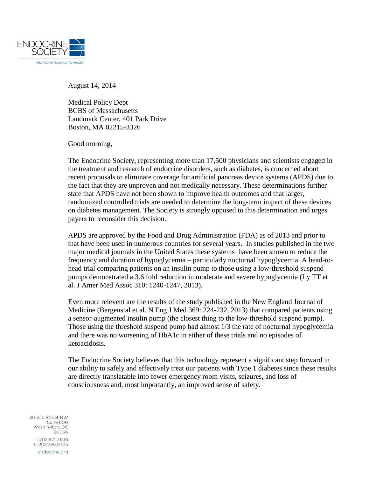

August 14, 2014

Medical Policy Dept BCBS of Massachusetts Landmark Center, 401 Park Drive Boston, MA 02215-3326

Good morning,

The Endocrine Society, representing more than 17,500 physicians and scientists engaged in the treatment and research of endocrine disorders, such as diabetes, is concerned about recent proposals to eliminate coverage for artificial pancreas device systems (APDS) due to the fact that they are unproven and not medically necessary. These determinations further state that APDS have not been shown to improve health outcomes and that larger, randomized controlled trials are needed to determine the long-term impact of these devices on diabetes management. The Society is strongly opposed to this determination and urges payers to reconsider this decision.

APDS are approved by the Food and Drug Administration (FDA) as of 2013 and prior to that have been used in numerous countries for several years. In studies published in the two major medical journals in the United States these systems have been shown to reduce the frequency and duration of hypoglycemia – particularly nocturnal hypoglycemia. A head-tohead trial comparing patients on an insulin pump to those using a low-threshold suspend pumps demonstrated a 3.6 fold reduction in moderate and severe hypoglycemia (Ly TT et al. J Amer Med Assoc 310: 1240-1247, 2013).

Even more relevent are the results of the study published in the New England Journal of Medicine (Bergenstal et al. N Eng J Med 369: 224-232, 2013) that compared patients using a sensor-augmented insulin pump (the closest thing to the low-threshold suspend pump). Those using the threshold suspend pump had almost 1/3 the rate of nocturnal hypoglycemia and there was no worsening of HbA1c in either of these trials and no episodes of ketoacidosis.

The Endocrine Society believes that this technology represent a significant step forward in our ability to safely and effectively treat our patients with Type 1 diabetes since these results are directly translatable into fewer emergency room visits, seizures, and loss of consciousness and, most importantly, an improved sense of safety.

2055 L Street NW Suite 600 Washington, DC 20036 T. 202.971.3636 F. 202.736.9705 endocrine.org